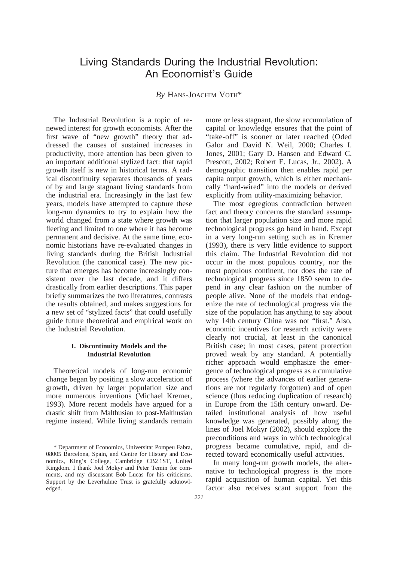# Living Standards During the Industrial Revolution: An Economist's Guide

# *By* HANS-JOACHIM VOTH\*

The Industrial Revolution is a topic of renewed interest for growth economists. After the first wave of "new growth" theory that addressed the causes of sustained increases in productivity, more attention has been given to an important additional stylized fact: that rapid growth itself is new in historical terms. A radical discontinuity separates thousands of years of by and large stagnant living standards from the industrial era. Increasingly in the last few years, models have attempted to capture these long-run dynamics to try to explain how the world changed from a state where growth was fleeting and limited to one where it has become permanent and decisive. At the same time, economic historians have re-evaluated changes in living standards during the British Industrial Revolution (the canonical case). The new picture that emerges has become increasingly consistent over the last decade, and it differs drastically from earlier descriptions. This paper briefly summarizes the two literatures, contrasts the results obtained, and makes suggestions for a new set of "stylized facts" that could usefully guide future theoretical and empirical work on the Industrial Revolution.

# **I. Discontinuity Models and the Industrial Revolution**

Theoretical models of long-run economic change began by positing a slow acceleration of growth, driven by larger population size and more numerous inventions (Michael Kremer, 1993). More recent models have argued for a drastic shift from Malthusian to post-Malthusian regime instead. While living standards remain more or less stagnant, the slow accumulation of capital or knowledge ensures that the point of "take-off" is sooner or later reached (Oded Galor and David N. Weil, 2000; Charles I. Jones, 2001; Gary D. Hansen and Edward C. Prescott, 2002; Robert E. Lucas, Jr., 2002). A demographic transition then enables rapid per capita output growth, which is either mechanically "hard-wired" into the models or derived explicitly from utility-maximizing behavior.

The most egregious contradiction between fact and theory concerns the standard assumption that larger population size and more rapid technological progress go hand in hand. Except in a very long-run setting such as in Kremer (1993), there is very little evidence to support this claim. The Industrial Revolution did not occur in the most populous country, nor the most populous continent, nor does the rate of technological progress since 1850 seem to depend in any clear fashion on the number of people alive. None of the models that endogenize the rate of technological progress via the size of the population has anything to say about why 14th century China was not "first." Also, economic incentives for research activity were clearly not crucial, at least in the canonical British case; in most cases, patent protection proved weak by any standard. A potentially richer approach would emphasize the emergence of technological progress as a cumulative process (where the advances of earlier generations are not regularly forgotten) and of open science (thus reducing duplication of research) in Europe from the 15th century onward. Detailed institutional analysis of how useful knowledge was generated, possibly along the lines of Joel Mokyr (2002), should explore the preconditions and ways in which technological progress became cumulative, rapid, and directed toward economically useful activities.

In many long-run growth models, the alternative to technological progress is the more rapid acquisition of human capital. Yet this factor also receives scant support from the

<sup>\*</sup> Department of Economics, Universitat Pompeu Fabra, 08005 Barcelona, Spain, and Centre for History and Economics, King's College, Cambridge CB2 1ST, United Kingdom. I thank Joel Mokyr and Peter Temin for comments, and my discussant Bob Lucas for his criticisms. Support by the Leverhulme Trust is gratefully acknowledged.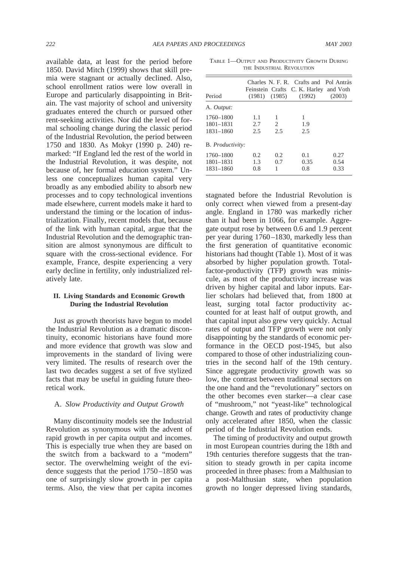available data, at least for the period before 1850. David Mitch (1999) shows that skill premia were stagnant or actually declined. Also, school enrollment ratios were low overall in Europe and particularly disappointing in Britain. The vast majority of school and university graduates entered the church or pursued other rent-seeking activities. Nor did the level of formal schooling change during the classic period of the Industrial Revolution, the period between 1750 and 1830. As Mokyr (1990 p. 240) remarked: "If England led the rest of the world in the Industrial Revolution, it was despite, not because of, her formal education system." Unless one conceptualizes human capital very broadly as any embodied ability to absorb new processes and to copy technological inventions made elsewhere, current models make it hard to understand the timing or the location of industrialization. Finally, recent models that, because of the link with human capital, argue that the Industrial Revolution and the demographic transition are almost synonymous are difficult to square with the cross-sectional evidence. For example, France, despite experiencing a very early decline in fertility, only industrialized relatively late.

# **II. Living Standards and Economic Growth During the Industrial Revolution**

Just as growth theorists have begun to model the Industrial Revolution as a dramatic discontinuity, economic historians have found more and more evidence that growth was slow and improvements in the standard of living were very limited. The results of research over the last two decades suggest a set of five stylized facts that may be useful in guiding future theoretical work.

## A. *Slow Productivity and Output Growth*

Many discontinuity models see the Industrial Revolution as synonymous with the advent of rapid growth in per capita output and incomes. This is especially true when they are based on the switch from a backward to a "modern" sector. The overwhelming weight of the evidence suggests that the period 1750–1850 was one of surprisingly slow growth in per capita terms. Also, the view that per capita incomes

TABLE 1—OUTPUT AND PRODUCTIVITY GROWTH DURING THE INDUSTRIAL REVOLUTION

| Period                              |                   | $(1981)$ $(1985)$ | Charles N. F. R. Crafts and Pol Antràs<br>Feinstein Crafts C. K. Harley<br>(1992) | and Voth<br>(2003)   |
|-------------------------------------|-------------------|-------------------|-----------------------------------------------------------------------------------|----------------------|
| A. Output:                          |                   |                   |                                                                                   |                      |
| 1760-1800<br>1801-1831<br>1831-1860 | 1.1<br>2.7<br>2.5 | 1<br>2<br>2.5     | 1<br>1.9<br>2.5                                                                   |                      |
| B. Productivity:                    |                   |                   |                                                                                   |                      |
| 1760-1800<br>1801-1831<br>1831-1860 | 0.2<br>1.3<br>0.8 | 0.2<br>0.7<br>1   | 0.1<br>0.35<br>0.8                                                                | 0.27<br>0.54<br>0.33 |

stagnated before the Industrial Revolution is only correct when viewed from a present-day angle. England in 1780 was markedly richer than it had been in 1066, for example. Aggregate output rose by between 0.6 and 1.9 percent per year during 1760–1830, markedly less than the first generation of quantitative economic historians had thought (Table 1). Most of it was absorbed by higher population growth. Totalfactor-productivity (TFP) growth was miniscule, as most of the productivity increase was driven by higher capital and labor inputs. Earlier scholars had believed that, from 1800 at least, surging total factor productivity accounted for at least half of output growth, and that capital input also grew very quickly. Actual rates of output and TFP growth were not only disappointing by the standards of economic performance in the OECD post-1945, but also compared to those of other industrializing countries in the second half of the 19th century. Since aggregate productivity growth was so low, the contrast between traditional sectors on the one hand and the "revolutionary" sectors on the other becomes even starker—a clear case of "mushroom," not "yeast-like" technological change. Growth and rates of productivity change only accelerated after 1850, when the classic period of the Industrial Revolution ends.

The timing of productivity and output growth in most European countries during the 18th and 19th centuries therefore suggests that the transition to steady growth in per capita income proceeded in three phases: from a Malthusian to a post-Malthusian state, when population growth no longer depressed living standards,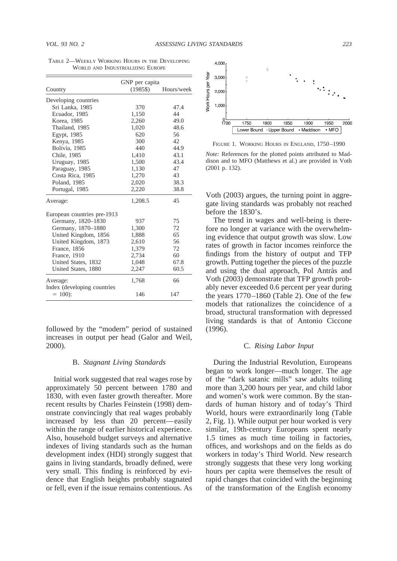| Country                                  | GNP per capita<br>$(1985\$ | Hours/week |
|------------------------------------------|----------------------------|------------|
| Developing countries                     |                            |            |
| Sri Lanka, 1985                          | 370                        | 47.4       |
| Ecuador, 1985                            | 1,150                      | 44         |
| Korea, 1985                              | 2,260                      | 49.0       |
| Thailand, 1985                           | 1,020                      | 48.6       |
| Egypt, 1985                              | 620                        | 56         |
| Kenya, 1985                              | 300                        | 42.        |
| Bolivia, 1985                            | 440                        | 44.9       |
| Chile, 1985                              | 1,410                      | 43.1       |
| Uruguay, 1985                            | 1,500                      | 43.4       |
| Paraguay, 1985                           | 1,130                      | 47         |
| Costa Rica, 1985                         | 1,270                      | 43         |
| Poland, 1985                             | 2,020                      | 38.3       |
| Portugal, 1985                           | 2,220                      | 38.8       |
| Average:                                 | 1,208.5                    | 45         |
| European countries pre-1913              |                            |            |
| Germany, 1820-1830                       | 937                        | 75         |
| Germany, 1870-1880                       | 1,300                      | 72         |
| United Kingdom, 1856                     | 1,888                      | 65         |
| United Kingdom, 1873                     | 2,610                      | 56         |
| France, 1856                             | 1,379                      | 72         |
| France, 1910                             | 2,734                      | 60         |
| United States, 1832                      | 1.048                      | 67.8       |
| United States, 1880                      | 2,247                      | 60.5       |
| Average:                                 | 1,768                      | 66         |
| Index (developing countries<br>$= 100$ : | 146                        | 147        |

TABLE 2—WEEKLY WORKING HOURS IN THE DEVELOPING WORLD AND INDUSTRIALIZING EUROPE

followed by the "modern" period of sustained increases in output per head (Galor and Weil, 2000).

#### B. *Stagnant Living Standards*

Initial work suggested that real wages rose by approximately 50 percent between 1780 and 1830, with even faster growth thereafter. More recent results by Charles Feinstein (1998) demonstrate convincingly that real wages probably increased by less than 20 percent—easily within the range of earlier historical experience. Also, household budget surveys and alternative indexes of living standards such as the human development index (HDI) strongly suggest that gains in living standards, broadly defined, were very small. This finding is reinforced by evidence that English heights probably stagnated or fell, even if the issue remains contentious. As



FIGURE 1. WORKING HOURS IN ENGLAND, 1750–1990

*Note:* References for the plotted points attributed to Maddison and to MFO (Matthews et al.) are provided in Voth (2001 p. 132).

Voth (2003) argues, the turning point in aggregate living standards was probably not reached before the 1830's.

The trend in wages and well-being is therefore no longer at variance with the overwhelming evidence that output growth was slow. Low rates of growth in factor incomes reinforce the findings from the history of output and TFP growth. Putting together the pieces of the puzzle and using the dual approach, Pol Antràs and Voth (2003) demonstrate that TFP growth probably never exceeded 0.6 percent per year during the years 1770–1860 (Table 2). One of the few models that rationalizes the coincidence of a broad, structural transformation with depressed living standards is that of Antonio Ciccone (1996).

# C. *Rising Labor Input*

During the Industrial Revolution, Europeans began to work longer—much longer. The age of the "dark satanic mills" saw adults toiling more than 3,200 hours per year, and child labor and women's work were common. By the standards of human history and of today's Third World, hours were extraordinarily long (Table 2, Fig. 1). While output per hour worked is very similar, 19th-century Europeans spent nearly 1.5 times as much time toiling in factories, offices, and workshops and on the fields as do workers in today's Third World. New research strongly suggests that these very long working hours per capita were themselves the result of rapid changes that coincided with the beginning of the transformation of the English economy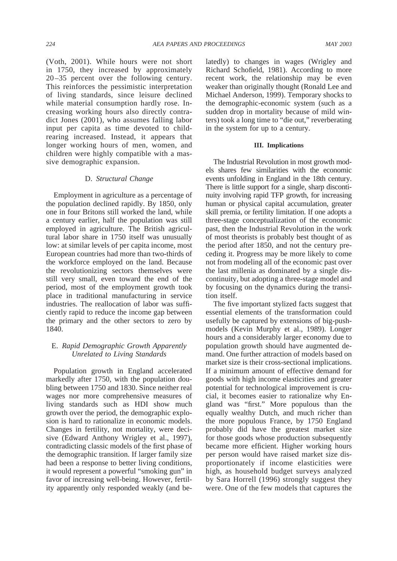(Voth, 2001). While hours were not short in 1750, they increased by approximately 20 –35 percent over the following century. This reinforces the pessimistic interpretation of living standards, since leisure declined while material consumption hardly rose. Increasing working hours also directly contradict Jones (2001), who assumes falling labor input per capita as time devoted to childrearing increased. Instead, it appears that longer working hours of men, women, and children were highly compatible with a massive demographic expansion.

#### D. *Structural Change*

Employment in agriculture as a percentage of the population declined rapidly. By 1850, only one in four Britons still worked the land, while a century earlier, half the population was still employed in agriculture. The British agricultural labor share in 1750 itself was unusually low: at similar levels of per capita income, most European countries had more than two-thirds of the workforce employed on the land. Because the revolutionizing sectors themselves were still very small, even toward the end of the period, most of the employment growth took place in traditional manufacturing in service industries. The reallocation of labor was sufficiently rapid to reduce the income gap between the primary and the other sectors to zero by 1840.

# E. *Rapid Demographic Growth Apparently Unrelated to Living Standards*

Population growth in England accelerated markedly after 1750, with the population doubling between 1750 and 1830. Since neither real wages nor more comprehensive measures of living standards such as HDI show much growth over the period, the demographic explosion is hard to rationalize in economic models. Changes in fertility, not mortality, were decisive (Edward Anthony Wrigley et al., 1997), contradicting classic models of the first phase of the demographic transition. If larger family size had been a response to better living conditions, it would represent a powerful "smoking gun" in favor of increasing well-being. However, fertility apparently only responded weakly (and belatedly) to changes in wages (Wrigley and Richard Schofield, 1981). According to more recent work, the relationship may be even weaker than originally thought (Ronald Lee and Michael Anderson, 1999). Temporary shocks to the demographic-economic system (such as a sudden drop in mortality because of mild winters) took a long time to "die out," reverberating in the system for up to a century.

#### **III. Implications**

The Industrial Revolution in most growth models shares few similarities with the economic events unfolding in England in the 18th century. There is little support for a single, sharp discontinuity involving rapid TFP growth, for increasing human or physical capital accumulation, greater skill premia, or fertility limitation. If one adopts a three-stage conceptualization of the economic past, then the Industrial Revolution in the work of most theorists is probably best thought of as the period after 1850, and not the century preceding it. Progress may be more likely to come not from modeling all of the economic past over the last millenia as dominated by a single discontinuity, but adopting a three-stage model and by focusing on the dynamics during the transition itself.

The five important stylized facts suggest that essential elements of the transformation could usefully be captured by extensions of big-pushmodels (Kevin Murphy et al., 1989). Longer hours and a considerably larger economy due to population growth should have augmented demand. One further attraction of models based on market size is their cross-sectional implications. If a minimum amount of effective demand for goods with high income elasticities and greater potential for technological improvement is crucial, it becomes easier to rationalize why England was "first." More populous than the equally wealthy Dutch, and much richer than the more populous France, by 1750 England probably did have the greatest market size for those goods whose production subsequently became more efficient. Higher working hours per person would have raised market size disproportionately if income elasticities were high, as household budget surveys analyzed by Sara Horrell (1996) strongly suggest they were. One of the few models that captures the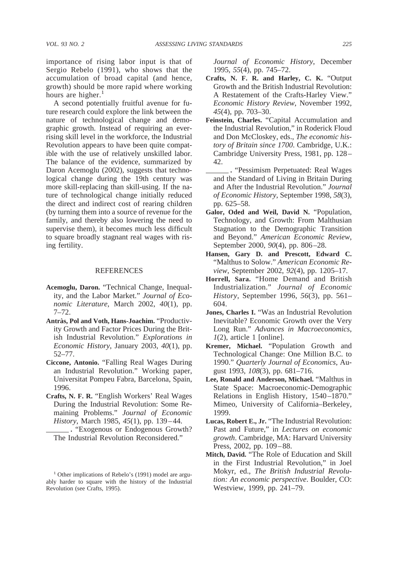importance of rising labor input is that of Sergio Rebelo (1991), who shows that the accumulation of broad capital (and hence, growth) should be more rapid where working hours are higher. $<sup>1</sup>$ </sup>

A second potentially fruitful avenue for future research could explore the link between the nature of technological change and demographic growth. Instead of requiring an everrising skill level in the workforce, the Industrial Revolution appears to have been quite compatible with the use of relatively unskilled labor. The balance of the evidence, summarized by Daron Acemoglu (2002), suggests that technological change during the 19th century was more skill-replacing than skill-using. If the nature of technological change initially reduced the direct and indirect cost of rearing children (by turning them into a source of revenue for the family, and thereby also lowering the need to supervise them), it becomes much less difficult to square broadly stagnant real wages with rising fertility.

## REFERENCES

- **Acemoglu, Daron.** "Technical Change, Inequality, and the Labor Market." *Journal of Economic Literature*, March 2002, *40*(1), pp. 7–72.
- Antràs, Pol and Voth, Hans-Joachim. "Productivity Growth and Factor Prices During the British Industrial Revolution." *Explorations in Economic History*, January 2003, *40*(1), pp. 52–77.
- **Ciccone, Antonio.** "Falling Real Wages During an Industrial Revolution." Working paper, Universitat Pompeu Fabra, Barcelona, Spain, 1996.
- **Crafts, N. F. R.** "English Workers' Real Wages During the Industrial Revolution: Some Remaining Problems." *Journal of Economic History*, March 1985, *45*(1), pp. 139–44.
- **.** "Exogenous or Endogenous Growth? The Industrial Revolution Reconsidered."

*Journal of Economic History*, December 1995, *55*(4), pp. 745–72.

- **Crafts, N. F. R. and Harley, C. K.** "Output Growth and the British Industrial Revolution: A Restatement of the Crafts-Harley View." *Economic History Review*, November 1992, *45*(4), pp. 703–30.
- **Feinstein, Charles.** "Capital Accumulation and the Industrial Revolution," in Roderick Floud and Don McCloskey, eds., *The economic history of Britain since 1700*. Cambridge, U.K.: Cambridge University Press, 1981, pp. 128– 42.
- **.** "Pessimism Perpetuated: Real Wages and the Standard of Living in Britain During and After the Industrial Revolution." *Journal of Economic History*, September 1998, *58*(3), pp. 625–58.
- **Galor, Oded and Weil, David N.** "Population, Technology, and Growth: From Malthusian Stagnation to the Demographic Transition and Beyond." *American Economic Review*, September 2000, *90*(4), pp. 806–28.
- **Hansen, Gary D. and Prescott, Edward C.** "Malthus to Solow." *American Economic Review*, September 2002, *92*(4), pp. 1205–17.
- **Horrell, Sara.** "Home Demand and British Industrialization." *Journal of Economic History*, September 1996, *56*(3), pp. 561– 604.
- **Jones, Charles I.** "Was an Industrial Revolution Inevitable? Economic Growth over the Very Long Run." *Advances in Macroeconomics*, *1*(2), article 1 [online].
- **Kremer, Michael.** "Population Growth and Technological Change: One Million B.C. to 1990." *Quarterly Journal of Economics*, August 1993, *108*(3), pp. 681–716.
- **Lee, Ronald and Anderson, Michael.** "Malthus in State Space: Macroeconomic-Demographic Relations in English History, 1540–1870." Mimeo, University of California–Berkeley, 1999.
- **Lucas, Robert E., Jr.** "The Industrial Revolution: Past and Future," in *Lectures on economic growth*. Cambridge, MA: Harvard University Press, 2002, pp. 109–88.
- **Mitch, David.** "The Role of Education and Skill in the First Industrial Revolution," in Joel Mokyr, ed., *The British Industrial Revolution: An economic perspective*. Boulder, CO: Westview, 1999, pp. 241–79.

<sup>&</sup>lt;sup>1</sup> Other implications of Rebelo's (1991) model are arguably harder to square with the history of the Industrial Revolution (see Crafts, 1995).